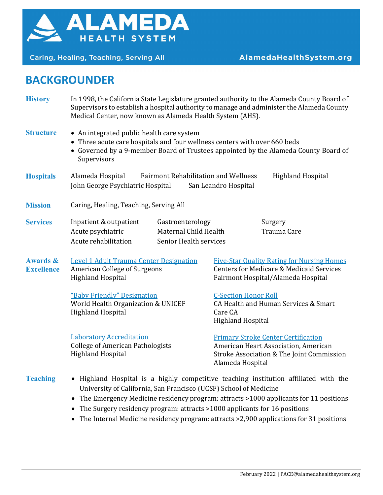

Caring, Healing, Teaching, Serving All

## **BACKGROUNDER**

**History** In 1998, the California State Legislature granted authority to the Alameda County Board of Supervisors to establish a hospital authority to manage and administer the Alameda County Medical Center, now known as Alameda Health System (AHS).

**Structure** • An integrated public health care system

- Three acute care hospitals and four wellness centers with over 660 beds
- Governed by a 9-member Board of Trustees appointed by the Alameda County Board of Supervisors
- **Hospitals** Alameda Hospital Fairmont Rehabilitation and Wellness Highland Hospital John George Psychiatric Hospital San Leandro Hospital
- **Mission** Caring, Healing, Teaching, Serving All

| <b>Services</b> | Inpatient & outpatient | Gastroenterology       | Surgery     |
|-----------------|------------------------|------------------------|-------------|
|                 | Acute psychiatric      | Maternal Child Health  | Trauma Care |
|                 | Acute rehabilitation   | Senior Health services |             |

**Awards & Excellence** Level 1 Adult Trauma Center Designation American College of Surgeons Highland Hospital

> "Baby Friendly" Designation World Health Organization & UNICEF Highland Hospital

Laboratory Accreditation College of American Pathologists Highland Hospital

Five-Star Quality Rating for Nursing Homes Centers for Medicare & Medicaid Services Fairmont Hospital/Alameda Hospital

C-Section Honor Roll

CA Health and Human Services & Smart Care CA Highland Hospital

Primary Stroke Center Certification American Heart Association, American Stroke Association & The Joint Commission Alameda Hospital

- **Teaching** Highland Hospital is a highly competitive teaching institution affiliated with the University of California, San Francisco (UCSF) School of Medicine
	- The Emergency Medicine residency program: attracts >1000 applicants for 11 positions
	- The Surgery residency program: attracts >1000 applicants for 16 positions
	- The Internal Medicine residency program: attracts > 2,900 applications for 31 positions